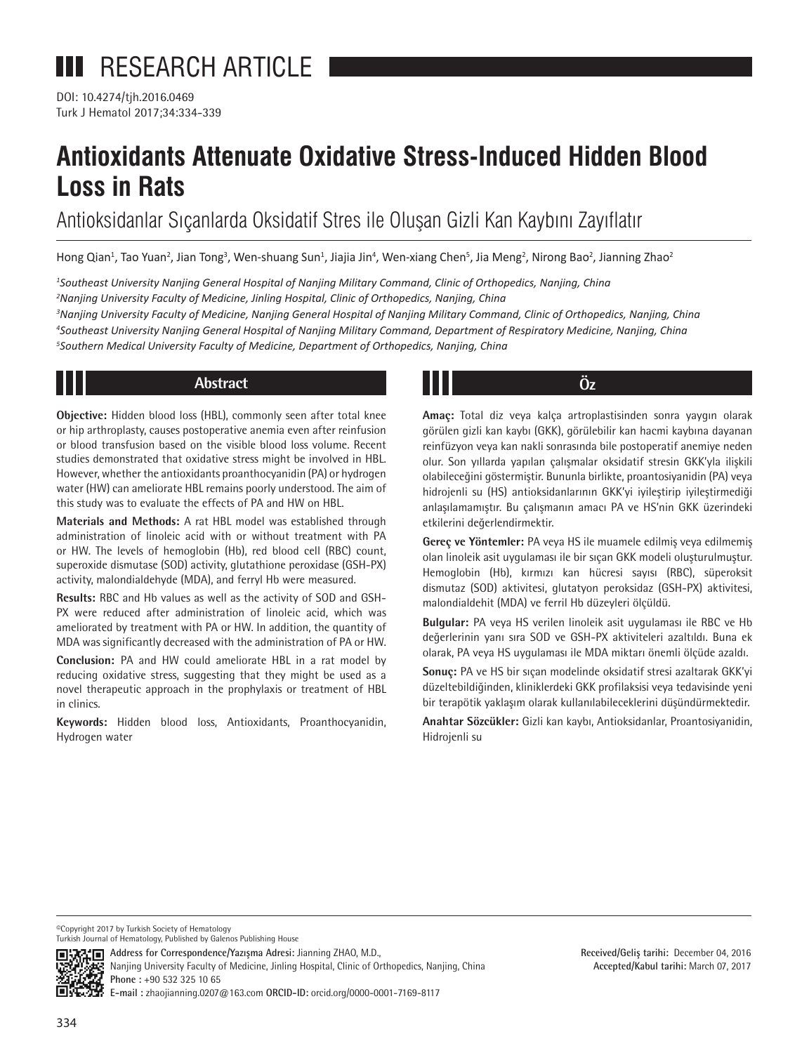DOI: 10.4274/tjh.2016.0469 Turk J Hematol 2017;34:334-339

# **Antioxidants Attenuate Oxidative Stress-Induced Hidden Blood Loss in Rats**

Antioksidanlar Sıçanlarda Oksidatif Stres ile Oluşan Gizli Kan Kaybını Zayıflatır

Hong Qian<sup>1</sup>, Tao Yuan<sup>2</sup>, Jian Tong<sup>3</sup>, Wen-shuang Sun<sup>1</sup>, Jiajia Jin<sup>4</sup>, Wen-xiang Chen<sup>5</sup>, Jia Meng<sup>2</sup>, Nirong Bao<sup>2</sup>, Jianning Zhao<sup>2</sup>

*1 Southeast University Nanjing General Hospital of Nanjing Military Command, Clinic of Orthopedics, Nanjing, China*

*2 Nanjing University Faculty of Medicine, Jinling Hospital, Clinic of Orthopedics, Nanjing, China* 

*3 Nanjing University Faculty of Medicine, Nanjing General Hospital of Nanjing Military Command, Clinic of Orthopedics, Nanjing, China 4 Southeast University Nanjing General Hospital of Nanjing Military Command, Department of Respiratory Medicine, Nanjing, China 5 Southern Medical University Faculty of Medicine, Department of Orthopedics, Nanjing, China* 

## **Abstract Öz**

**Objective:** Hidden blood loss (HBL), commonly seen after total knee or hip arthroplasty, causes postoperative anemia even after reinfusion or blood transfusion based on the visible blood loss volume. Recent studies demonstrated that oxidative stress might be involved in HBL. However, whether the antioxidants proanthocyanidin (PA) or hydrogen water (HW) can ameliorate HBL remains poorly understood. The aim of this study was to evaluate the effects of PA and HW on HBL.

**Materials and Methods:** A rat HBL model was established through administration of linoleic acid with or without treatment with PA or HW. The levels of hemoglobin (Hb), red blood cell (RBC) count, superoxide dismutase (SOD) activity, glutathione peroxidase (GSH-PX) activity, malondialdehyde (MDA), and ferryl Hb were measured.

**Results:** RBC and Hb values as well as the activity of SOD and GSH-PX were reduced after administration of linoleic acid, which was ameliorated by treatment with PA or HW. In addition, the quantity of MDA was significantly decreased with the administration of PA or HW.

**Conclusion:** PA and HW could ameliorate HBL in a rat model by reducing oxidative stress, suggesting that they might be used as a novel therapeutic approach in the prophylaxis or treatment of HBL in clinics.

**Keywords:** Hidden blood loss, Antioxidants, Proanthocyanidin, Hydrogen water

**Amaç:** Total diz veya kalça artroplastisinden sonra yaygın olarak görülen gizli kan kaybı (GKK), görülebilir kan hacmi kaybına dayanan reinfüzyon veya kan nakli sonrasında bile postoperatif anemiye neden olur. Son yıllarda yapılan çalışmalar oksidatif stresin GKK'yla ilişkili olabileceğini göstermiştir. Bununla birlikte, proantosiyanidin (PA) veya hidrojenli su (HS) antioksidanlarının GKK'yi iyileştirip iyileştirmediği anlaşılamamıştır. Bu çalışmanın amacı PA ve HS'nin GKK üzerindeki etkilerini değerlendirmektir.

**Gereç ve Yöntemler:** PA veya HS ile muamele edilmiş veya edilmemiş olan linoleik asit uygulaması ile bir sıçan GKK modeli oluşturulmuştur. Hemoglobin (Hb), kırmızı kan hücresi sayısı (RBC), süperoksit dismutaz (SOD) aktivitesi, glutatyon peroksidaz (GSH-PX) aktivitesi, malondialdehit (MDA) ve ferril Hb düzeyleri ölçüldü.

**Bulgular:** PA veya HS verilen linoleik asit uygulaması ile RBC ve Hb değerlerinin yanı sıra SOD ve GSH-PX aktiviteleri azaltıldı. Buna ek olarak, PA veya HS uygulaması ile MDA miktarı önemli ölçüde azaldı.

**Sonuç:** PA ve HS bir sıçan modelinde oksidatif stresi azaltarak GKK'yi düzeltebildiğinden, kliniklerdeki GKK profilaksisi veya tedavisinde yeni bir terapötik yaklaşım olarak kullanılabileceklerini düşündürmektedir.

**Anahtar Sözcükler:** Gizli kan kaybı, Antioksidanlar, Proantosiyanidin, Hidrojenli su

©Copyright 2017 by Turkish Society of Hematology



**国识**<br><a>
M.D., Address for Correspondence/Yazışma Adresi: Jianning ZHAO, M.D.,



Nanjing University Faculty of Medicine, Jinling Hospital, Clinic of Orthopedics, Nanjing, China

**Received/Geliş tarihi:** December 04, 2016 **Accepted/Kabul tarihi:** March 07, 2017

**Phone :** +90 532 325 10 65

**E-mail :** zhaojianning.0207@163.com **ORCID-ID:** orcid.org/0000-0001-7169-8117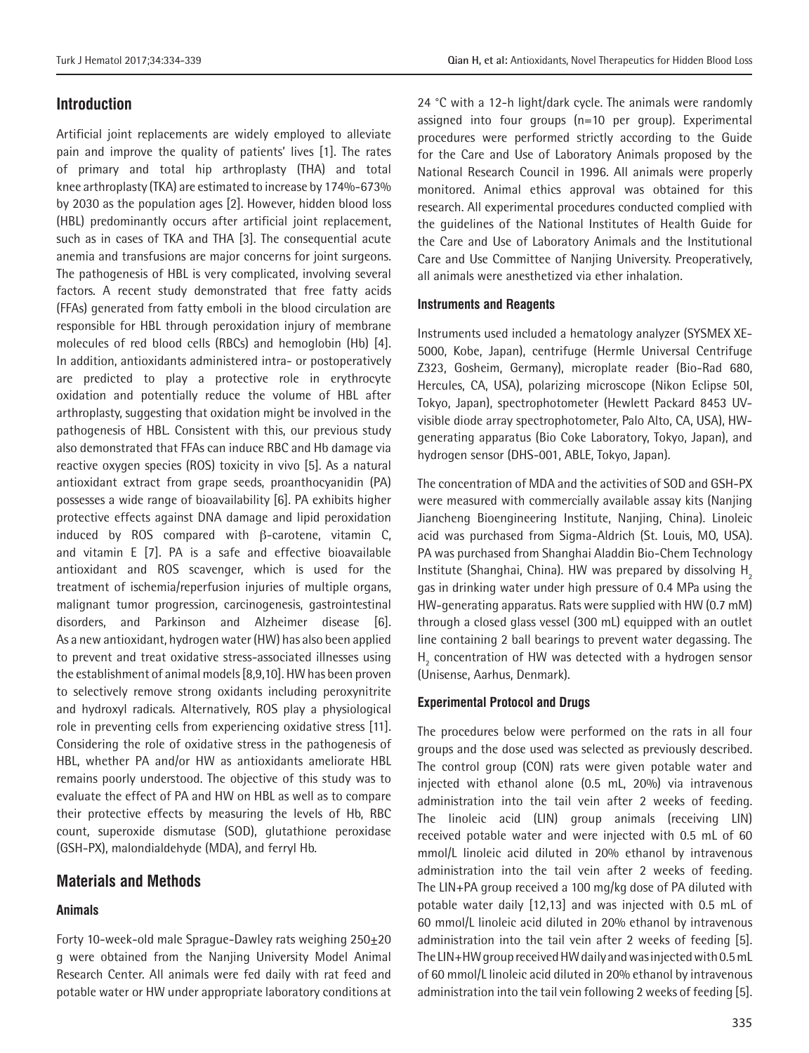## **Introduction**

Artificial joint replacements are widely employed to alleviate pain and improve the quality of patients' lives [1]. The rates of primary and total hip arthroplasty (THA) and total knee arthroplasty (TKA) are estimated to increase by 174%-673% by 2030 as the population ages [2]. However, hidden blood loss (HBL) predominantly occurs after artificial joint replacement, such as in cases of TKA and THA [3]. The consequential acute anemia and transfusions are major concerns for joint surgeons. The pathogenesis of HBL is very complicated, involving several factors. A recent study demonstrated that free fatty acids (FFAs) generated from fatty emboli in the blood circulation are responsible for HBL through peroxidation injury of membrane molecules of red blood cells (RBCs) and hemoglobin (Hb) [4]. In addition, antioxidants administered intra- or postoperatively are predicted to play a protective role in erythrocyte oxidation and potentially reduce the volume of HBL after arthroplasty, suggesting that oxidation might be involved in the pathogenesis of HBL. Consistent with this, our previous study also demonstrated that FFAs can induce RBC and Hb damage via reactive oxygen species (ROS) toxicity in vivo [5]. As a natural antioxidant extract from grape seeds, proanthocyanidin (PA) possesses a wide range of bioavailability [6]. PA exhibits higher protective effects against DNA damage and lipid peroxidation induced by ROS compared with β-carotene, vitamin C, and vitamin E [7]. PA is a safe and effective bioavailable antioxidant and ROS scavenger, which is used for the treatment of ischemia/reperfusion injuries of multiple organs, malignant tumor progression, carcinogenesis, gastrointestinal disorders, and Parkinson and Alzheimer disease [6]. As a new antioxidant, hydrogen water (HW) has also been applied to prevent and treat oxidative stress-associated illnesses using the establishment of animal models [8,9,10]. HW has been proven to selectively remove strong oxidants including peroxynitrite and hydroxyl radicals. Alternatively, ROS play a physiological role in preventing cells from experiencing oxidative stress [11]. Considering the role of oxidative stress in the pathogenesis of HBL, whether PA and/or HW as antioxidants ameliorate HBL remains poorly understood. The objective of this study was to evaluate the effect of PA and HW on HBL as well as to compare their protective effects by measuring the levels of Hb, RBC count, superoxide dismutase (SOD), glutathione peroxidase (GSH-PX), malondialdehyde (MDA), and ferryl Hb.

## **Materials and Methods**

## **Animals**

Forty 10-week-old male Sprague-Dawley rats weighing 250±20 g were obtained from the Nanjing University Model Animal Research Center. All animals were fed daily with rat feed and potable water or HW under appropriate laboratory conditions at 24 °C with a 12-h light/dark cycle. The animals were randomly assigned into four groups (n=10 per group). Experimental procedures were performed strictly according to the Guide for the Care and Use of Laboratory Animals proposed by the National Research Council in 1996. All animals were properly monitored. Animal ethics approval was obtained for this research. All experimental procedures conducted complied with the guidelines of the National Institutes of Health Guide for the Care and Use of Laboratory Animals and the Institutional Care and Use Committee of Nanjing University. Preoperatively, all animals were anesthetized via ether inhalation.

## **Instruments and Reagents**

Instruments used included a hematology analyzer (SYSMEX XE-5000, Kobe, Japan), centrifuge (Hermle Universal Centrifuge Z323, Gosheim, Germany), microplate reader (Bio-Rad 680, Hercules, CA, USA), polarizing microscope (Nikon Eclipse 50I, Tokyo, Japan), spectrophotometer (Hewlett Packard 8453 UVvisible diode array spectrophotometer, Palo Alto, CA, USA), HWgenerating apparatus (Bio Coke Laboratory, Tokyo, Japan), and hydrogen sensor (DHS-001, ABLE, Tokyo, Japan).

The concentration of MDA and the activities of SOD and GSH-PX were measured with commercially available assay kits (Nanjing Jiancheng Bioengineering Institute, Nanjing, China). Linoleic acid was purchased from Sigma-Aldrich (St. Louis, MO, USA). PA was purchased from Shanghai Aladdin Bio-Chem Technology Institute (Shanghai, China). HW was prepared by dissolving  $H<sub>2</sub>$ gas in drinking water under high pressure of 0.4 MPa using the HW-generating apparatus. Rats were supplied with HW (0.7 mM) through a closed glass vessel (300 mL) equipped with an outlet line containing 2 ball bearings to prevent water degassing. The  $H_2$  concentration of HW was detected with a hydrogen sensor (Unisense, Aarhus, Denmark).

#### **Experimental Protocol and Drugs**

The procedures below were performed on the rats in all four groups and the dose used was selected as previously described. The control group (CON) rats were given potable water and injected with ethanol alone (0.5 mL, 20%) via intravenous administration into the tail vein after 2 weeks of feeding. The linoleic acid (LIN) group animals (receiving LIN) received potable water and were injected with 0.5 mL of 60 mmol/L linoleic acid diluted in 20% ethanol by intravenous administration into the tail vein after 2 weeks of feeding. The LIN+PA group received a 100 mg/kg dose of PA diluted with potable water daily [12,13] and was injected with 0.5 mL of 60 mmol/L linoleic acid diluted in 20% ethanol by intravenous administration into the tail vein after 2 weeks of feeding [5]. The LIN+HW group received HW daily and was injected with 0.5 mL of 60 mmol/L linoleic acid diluted in 20% ethanol by intravenous administration into the tail vein following 2 weeks of feeding [5].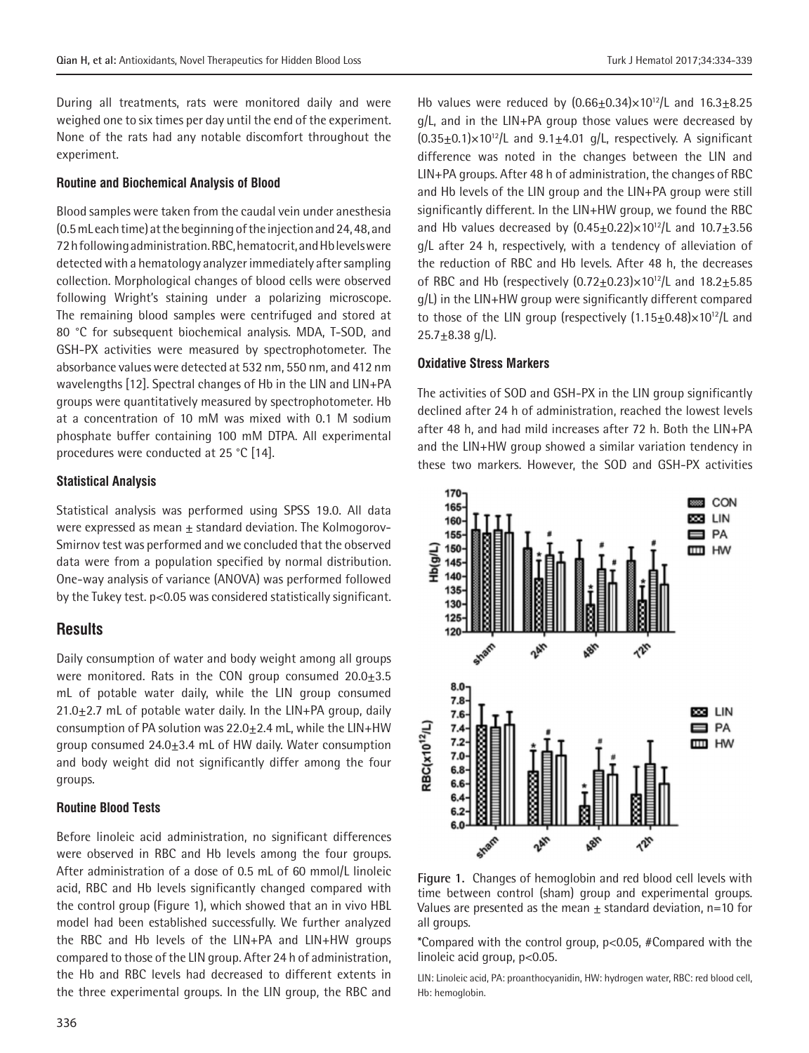During all treatments, rats were monitored daily and were weighed one to six times per day until the end of the experiment. None of the rats had any notable discomfort throughout the

## **Routine and Biochemical Analysis of Blood**

Blood samples were taken from the caudal vein under anesthesia (0.5 mL each time) at the beginning of the injection and 24, 48, and 72 h following administration. RBC, hematocrit, and Hb levels were detected with a hematology analyzer immediately after sampling collection. Morphological changes of blood cells were observed following Wright's staining under a polarizing microscope. The remaining blood samples were centrifuged and stored at 80 °C for subsequent biochemical analysis. MDA, T-SOD, and GSH-PX activities were measured by spectrophotometer. The absorbance values were detected at 532 nm, 550 nm, and 412 nm wavelengths [12]. Spectral changes of Hb in the LIN and LIN+PA groups were quantitatively measured by spectrophotometer. Hb at a concentration of 10 mM was mixed with 0.1 M sodium phosphate buffer containing 100 mM DTPA. All experimental procedures were conducted at 25 °C [14].

## **Statistical Analysis**

experiment.

Statistical analysis was performed using SPSS 19.0. All data were expressed as mean  $\pm$  standard deviation. The Kolmogorov-Smirnov test was performed and we concluded that the observed data were from a population specified by normal distribution. One-way analysis of variance (ANOVA) was performed followed by the Tukey test. p<0.05 was considered statistically significant.

## **Results**

Daily consumption of water and body weight among all groups were monitored. Rats in the CON group consumed  $20.0 \pm 3.5$ mL of potable water daily, while the LIN group consumed  $21.0 \pm 2.7$  mL of potable water daily. In the LIN+PA group, daily consumption of PA solution was  $22.0 \pm 2.4$  mL, while the LIN+HW group consumed 24.0 $\pm$ 3.4 mL of HW daily. Water consumption and body weight did not significantly differ among the four groups.

#### **Routine Blood Tests**

Before linoleic acid administration, no significant differences were observed in RBC and Hb levels among the four groups. After administration of a dose of 0.5 mL of 60 mmol/L linoleic acid, RBC and Hb levels significantly changed compared with the control group (Figure 1), which showed that an in vivo HBL model had been established successfully. We further analyzed the RBC and Hb levels of the LIN+PA and LIN+HW groups compared to those of the LIN group. After 24 h of administration, the Hb and RBC levels had decreased to different extents in the three experimental groups. In the LIN group, the RBC and

Hb values were reduced by  $(0.66 \pm 0.34) \times 10^{12}$ /L and  $16.3 \pm 8.25$ g/L, and in the LIN+PA group those values were decreased by  $(0.35\pm0.1)\times10^{12}$ /L and  $9.1\pm4.01$  g/L, respectively. A significant difference was noted in the changes between the LIN and LIN+PA groups. After 48 h of administration, the changes of RBC and Hb levels of the LIN group and the LIN+PA group were still significantly different. In the LIN+HW group, we found the RBC and Hb values decreased by  $(0.45 \pm 0.22) \times 10^{12}$ /L and  $10.7 \pm 3.56$ g/L after 24 h, respectively, with a tendency of alleviation of the reduction of RBC and Hb levels. After 48 h, the decreases of RBC and Hb (respectively  $(0.72+0.23)\times10^{12}$ /L and  $18.2+5.85$ g/L) in the LIN+HW group were significantly different compared to those of the LIN group (respectively  $(1.15+0.48)\times10^{12}/L$  and  $25.7 \pm 8.38$  g/L).

## **Oxidative Stress Markers**

The activities of SOD and GSH-PX in the LIN group significantly declined after 24 h of administration, reached the lowest levels after 48 h, and had mild increases after 72 h. Both the LIN+PA and the LIN+HW group showed a similar variation tendency in these two markers. However, the SOD and GSH-PX activities



**Figure 1.** Changes of hemoglobin and red blood cell levels with time between control (sham) group and experimental groups. Values are presented as the mean  $\pm$  standard deviation, n=10 for all groups.

\*Compared with the control group, p<0.05, #Compared with the linoleic acid group, p<0.05.

LIN: Linoleic acid, PA: proanthocyanidin, HW: hydrogen water, RBC: red blood cell, Hb: hemoglobin.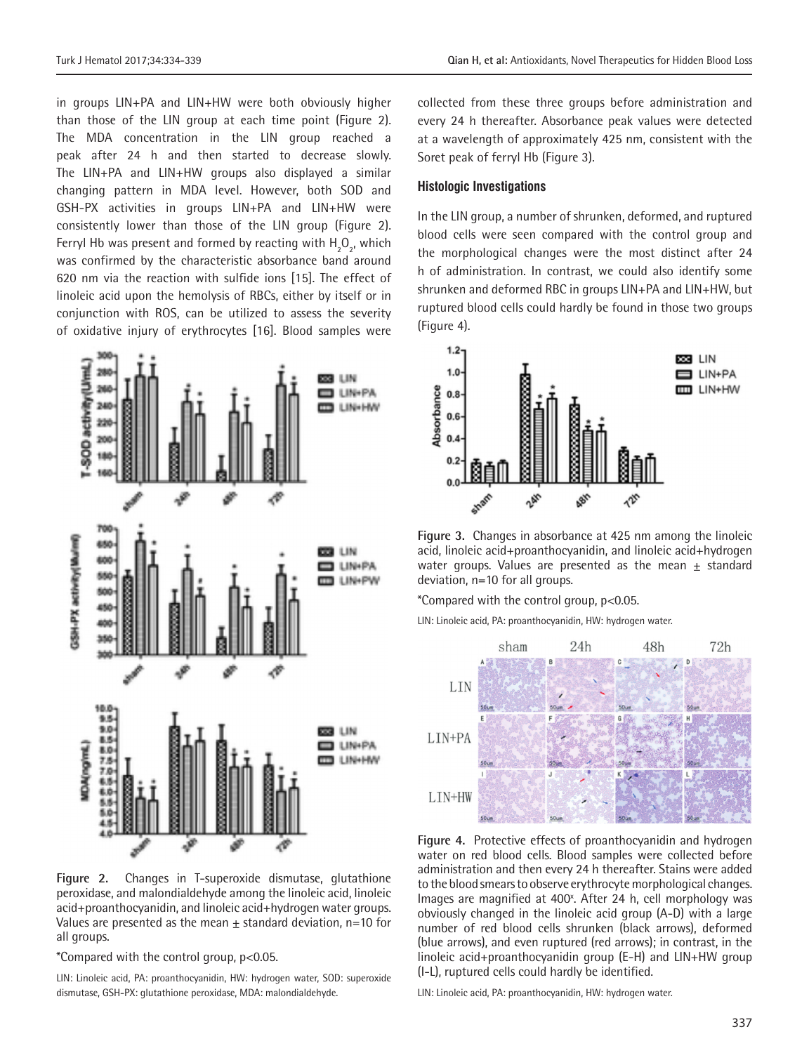in groups LIN+PA and LIN+HW were both obviously higher than those of the LIN group at each time point (Figure 2). The MDA concentration in the LIN group reached a peak after 24 h and then started to decrease slowly. The LIN+PA and LIN+HW groups also displayed a similar changing pattern in MDA level. However, both SOD and GSH-PX activities in groups LIN+PA and LIN+HW were consistently lower than those of the LIN group (Figure 2). Ferryl Hb was present and formed by reacting with  $H_2O_{2'}$ , which was confirmed by the characteristic absorbance band around 620 nm via the reaction with sulfide ions [15]. The effect of linoleic acid upon the hemolysis of RBCs, either by itself or in conjunction with ROS, can be utilized to assess the severity of oxidative injury of erythrocytes [16]. Blood samples were



**Figure 2.** Changes in T-superoxide dismutase, glutathione peroxidase, and malondialdehyde among the linoleic acid, linoleic acid+proanthocyanidin, and linoleic acid+hydrogen water groups. Values are presented as the mean  $\pm$  standard deviation, n=10 for all groups.

\*Compared with the control group, p<0.05.

LIN: Linoleic acid, PA: proanthocyanidin, HW: hydrogen water, SOD: superoxide dismutase, GSH-PX: glutathione peroxidase, MDA: malondialdehyde.

collected from these three groups before administration and every 24 h thereafter. Absorbance peak values were detected at a wavelength of approximately 425 nm, consistent with the Soret peak of ferryl Hb (Figure 3).

#### **Histologic Investigations**

In the LIN group, a number of shrunken, deformed, and ruptured blood cells were seen compared with the control group and the morphological changes were the most distinct after 24 h of administration. In contrast, we could also identify some shrunken and deformed RBC in groups LIN+PA and LIN+HW, but ruptured blood cells could hardly be found in those two groups (Figure 4).



**Figure 3.** Changes in absorbance at 425 nm among the linoleic acid, linoleic acid+proanthocyanidin, and linoleic acid+hydrogen water groups. Values are presented as the mean  $\pm$  standard deviation, n=10 for all groups.

\*Compared with the control group, p<0.05.

LIN: Linoleic acid, PA: proanthocyanidin, HW: hydrogen water.



**Figure 4.** Protective effects of proanthocyanidin and hydrogen water on red blood cells. Blood samples were collected before administration and then every 24 h thereafter. Stains were added to the blood smears to observe erythrocyte morphological changes. Images are magnified at 400<sup>x</sup>. After 24 h, cell morphology was obviously changed in the linoleic acid group (A-D) with a large number of red blood cells shrunken (black arrows), deformed (blue arrows), and even ruptured (red arrows); in contrast, in the linoleic acid+proanthocyanidin group (E-H) and LIN+HW group (I-L), ruptured cells could hardly be identified.

LIN: Linoleic acid, PA: proanthocyanidin, HW: hydrogen water.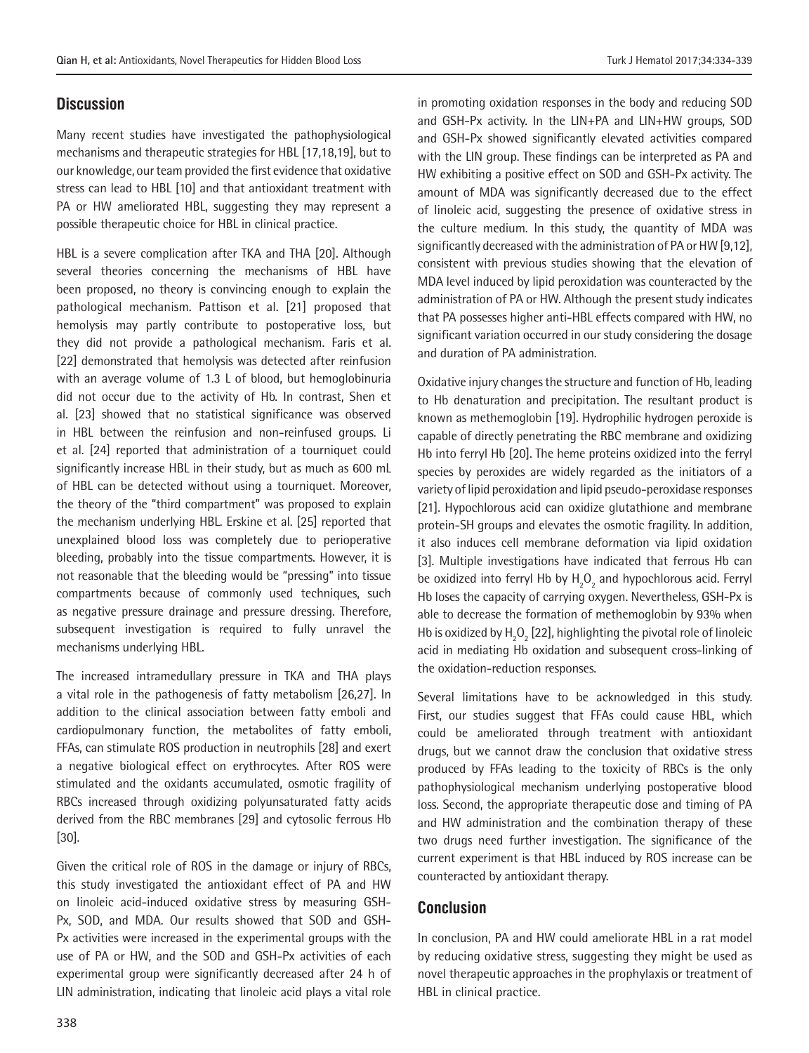## **Discussion**

Many recent studies have investigated the pathophysiological mechanisms and therapeutic strategies for HBL [17,18,19], but to our knowledge, our team provided the first evidence that oxidative stress can lead to HBL [10] and that antioxidant treatment with PA or HW ameliorated HBL, suggesting they may represent a possible therapeutic choice for HBL in clinical practice.

HBL is a severe complication after TKA and THA [20]. Although several theories concerning the mechanisms of HBL have been proposed, no theory is convincing enough to explain the pathological mechanism. Pattison et al. [21] proposed that hemolysis may partly contribute to postoperative loss, but they did not provide a pathological mechanism. Faris et al. [22] demonstrated that hemolysis was detected after reinfusion with an average volume of 1.3 L of blood, but hemoglobinuria did not occur due to the activity of Hb. In contrast, Shen et al. [23] showed that no statistical significance was observed in HBL between the reinfusion and non-reinfused groups. Li et al. [24] reported that administration of a tourniquet could significantly increase HBL in their study, but as much as 600 mL of HBL can be detected without using a tourniquet. Moreover, the theory of the "third compartment" was proposed to explain the mechanism underlying HBL. Erskine et al. [25] reported that unexplained blood loss was completely due to perioperative bleeding, probably into the tissue compartments. However, it is not reasonable that the bleeding would be "pressing" into tissue compartments because of commonly used techniques, such as negative pressure drainage and pressure dressing. Therefore, subsequent investigation is required to fully unravel the mechanisms underlying HBL.

The increased intramedullary pressure in TKA and THA plays a vital role in the pathogenesis of fatty metabolism [26,27]. In addition to the clinical association between fatty emboli and cardiopulmonary function, the metabolites of fatty emboli, FFAs, can stimulate ROS production in neutrophils [28] and exert a negative biological effect on erythrocytes. After ROS were stimulated and the oxidants accumulated, osmotic fragility of RBCs increased through oxidizing polyunsaturated fatty acids derived from the RBC membranes [29] and cytosolic ferrous Hb [30].

Given the critical role of ROS in the damage or injury of RBCs, this study investigated the antioxidant effect of PA and HW on linoleic acid-induced oxidative stress by measuring GSH-Px, SOD, and MDA. Our results showed that SOD and GSH-Px activities were increased in the experimental groups with the use of PA or HW, and the SOD and GSH-Px activities of each experimental group were significantly decreased after 24 h of LIN administration, indicating that linoleic acid plays a vital role

in promoting oxidation responses in the body and reducing SOD and GSH-Px activity. In the LIN+PA and LIN+HW groups, SOD and GSH-Px showed significantly elevated activities compared with the LIN group. These findings can be interpreted as PA and HW exhibiting a positive effect on SOD and GSH-Px activity. The amount of MDA was significantly decreased due to the effect of linoleic acid, suggesting the presence of oxidative stress in the culture medium. In this study, the quantity of MDA was significantly decreased with the administration of PA or HW [9,12], consistent with previous studies showing that the elevation of MDA level induced by lipid peroxidation was counteracted by the administration of PA or HW. Although the present study indicates that PA possesses higher anti-HBL effects compared with HW, no significant variation occurred in our study considering the dosage and duration of PA administration.

Oxidative injury changes the structure and function of Hb, leading to Hb denaturation and precipitation. The resultant product is known as methemoglobin [19]. Hydrophilic hydrogen peroxide is capable of directly penetrating the RBC membrane and oxidizing Hb into ferryl Hb [20]. The heme proteins oxidized into the ferryl species by peroxides are widely regarded as the initiators of a variety of lipid peroxidation and lipid pseudo-peroxidase responses [21]. Hypochlorous acid can oxidize glutathione and membrane protein-SH groups and elevates the osmotic fragility. In addition, it also induces cell membrane deformation via lipid oxidation [3]. Multiple investigations have indicated that ferrous Hb can be oxidized into ferryl Hb by  $H_2O_2$  and hypochlorous acid. Ferryl Hb loses the capacity of carrying oxygen. Nevertheless, GSH-Px is able to decrease the formation of methemoglobin by 93% when Hb is oxidized by  $H_2O_2$  [22], highlighting the pivotal role of linoleic acid in mediating Hb oxidation and subsequent cross-linking of the oxidation-reduction responses.

Several limitations have to be acknowledged in this study. First, our studies suggest that FFAs could cause HBL, which could be ameliorated through treatment with antioxidant drugs, but we cannot draw the conclusion that oxidative stress produced by FFAs leading to the toxicity of RBCs is the only pathophysiological mechanism underlying postoperative blood loss. Second, the appropriate therapeutic dose and timing of PA and HW administration and the combination therapy of these two drugs need further investigation. The significance of the current experiment is that HBL induced by ROS increase can be counteracted by antioxidant therapy.

## **Conclusion**

In conclusion, PA and HW could ameliorate HBL in a rat model by reducing oxidative stress, suggesting they might be used as novel therapeutic approaches in the prophylaxis or treatment of HBL in clinical practice.